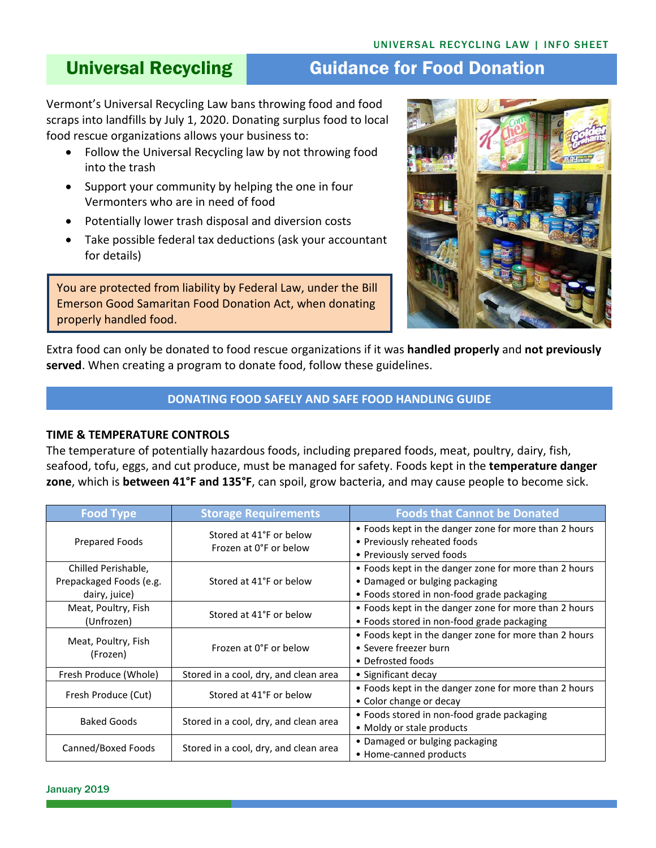# Universal Recycling **Guidance for Food Donation**

Vermont's Universal Recycling Law bans throwing food and food scraps into landfills by July 1, 2020. Donating surplus food to local food rescue organizations allows your business to:

- Follow the Universal Recycling law by not throwing food into the trash
- Support your community by helping the one in four Vermonters who are in need of food
- Potentially lower trash disposal and diversion costs
- Take possible federal tax deductions (ask your accountant for details)

You are protected from liability by Federal Law, under the Bill Emerson Good Samaritan Food Donation Act, when donating properly handled food.



Extra food can only be donated to food rescue organizations if it was **handled properly** and **not previously served**. When creating a program to donate food, follow these guidelines.

# **DONATING FOOD SAFELY AND SAFE FOOD HANDLING GUIDE**

### **TIME & TEMPERATURE CONTROLS**

The temperature of potentially hazardous foods, including prepared foods, meat, poultry, dairy, fish, seafood, tofu, eggs, and cut produce, must be managed for safety. Foods kept in the **temperature danger zone**, which is **between 41°F and 135°F**, can spoil, grow bacteria, and may cause people to become sick.

| <b>Food Type</b>                                                | <b>Storage Requirements</b>                                                                                                   | <b>Foods that Cannot be Donated</b>                                                                                                   |  |
|-----------------------------------------------------------------|-------------------------------------------------------------------------------------------------------------------------------|---------------------------------------------------------------------------------------------------------------------------------------|--|
| Prepared Foods                                                  | Stored at 41°F or below<br>Frozen at 0°F or below                                                                             | • Foods kept in the danger zone for more than 2 hours<br>• Previously reheated foods<br>• Previously served foods                     |  |
| Chilled Perishable,<br>Prepackaged Foods (e.g.<br>dairy, juice) | Stored at 41°F or below                                                                                                       | • Foods kept in the danger zone for more than 2 hours<br>• Damaged or bulging packaging<br>• Foods stored in non-food grade packaging |  |
| Meat, Poultry, Fish<br>(Unfrozen)                               | Stored at 41°F or below                                                                                                       | • Foods kept in the danger zone for more than 2 hours<br>• Foods stored in non-food grade packaging                                   |  |
| Meat, Poultry, Fish<br>(Frozen)                                 | • Foods kept in the danger zone for more than 2 hours<br>Frozen at 0°F or below<br>• Severe freezer burn<br>• Defrosted foods |                                                                                                                                       |  |
| Fresh Produce (Whole)                                           | Stored in a cool, dry, and clean area                                                                                         | • Significant decay                                                                                                                   |  |
| Fresh Produce (Cut)                                             | Stored at 41°F or below                                                                                                       | • Foods kept in the danger zone for more than 2 hours<br>• Color change or decay                                                      |  |
| <b>Baked Goods</b>                                              | Stored in a cool, dry, and clean area                                                                                         | • Foods stored in non-food grade packaging<br>• Moldy or stale products                                                               |  |
| Canned/Boxed Foods                                              | Stored in a cool, dry, and clean area                                                                                         | • Damaged or bulging packaging<br>• Home-canned products                                                                              |  |